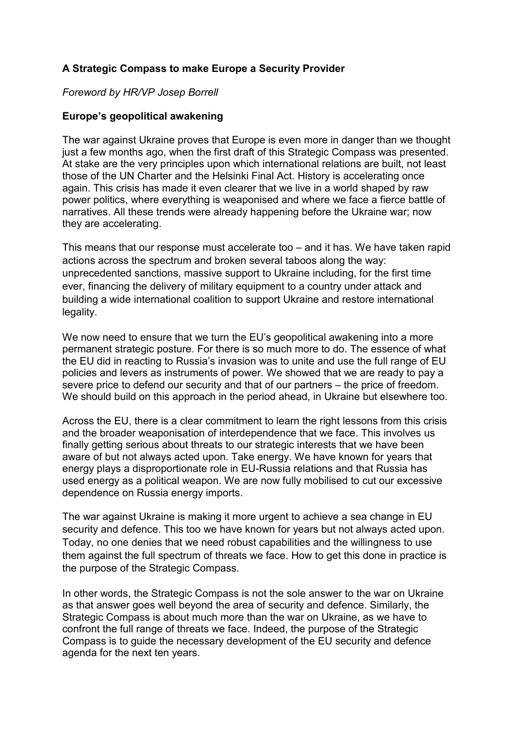# **A Strategic Compass to make Europe a Security Provider**

## *Foreword by HR/VP Josep Borrell*

# **Europe's geopolitical awakening**

The war against Ukraine proves that Europe is even more in danger than we thought just a few months ago, when the first draft of this Strategic Compass was presented. At stake are the very principles upon which international relations are built, not least those of the UN Charter and the Helsinki Final Act. History is accelerating once again. This crisis has made it even clearer that we live in a world shaped by raw power politics, where everything is weaponised and where we face a fierce battle of narratives. All these trends were already happening before the Ukraine war; now they are accelerating.

This means that our response must accelerate too – and it has. We have taken rapid actions across the spectrum and broken several taboos along the way: unprecedented sanctions, massive support to Ukraine including, for the first time ever, financing the delivery of military equipment to a country under attack and building a wide international coalition to support Ukraine and restore international legality.

We now need to ensure that we turn the EU's geopolitical awakening into a more permanent strategic posture. For there is so much more to do. The essence of what the EU did in reacting to Russia's invasion was to unite and use the full range of EU policies and levers as instruments of power. We showed that we are ready to pay a severe price to defend our security and that of our partners – the price of freedom. We should build on this approach in the period ahead, in Ukraine but elsewhere too.

Across the EU, there is a clear commitment to learn the right lessons from this crisis and the broader weaponisation of interdependence that we face. This involves us finally getting serious about threats to our strategic interests that we have been aware of but not always acted upon. Take energy. We have known for years that energy plays a disproportionate role in EU-Russia relations and that Russia has used energy as a political weapon. We are now fully mobilised to cut our excessive dependence on Russia energy imports.

The war against Ukraine is making it more urgent to achieve a sea change in EU security and defence. This too we have known for years but not always acted upon. Today, no one denies that we need robust capabilities and the willingness to use them against the full spectrum of threats we face. How to get this done in practice is the purpose of the Strategic Compass.

In other words, the Strategic Compass is not the sole answer to the war on Ukraine as that answer goes well beyond the area of security and defence. Similarly, the Strategic Compass is about much more than the war on Ukraine, as we have to confront the full range of threats we face. Indeed, the purpose of the Strategic Compass is to guide the necessary development of the EU security and defence agenda for the next ten years.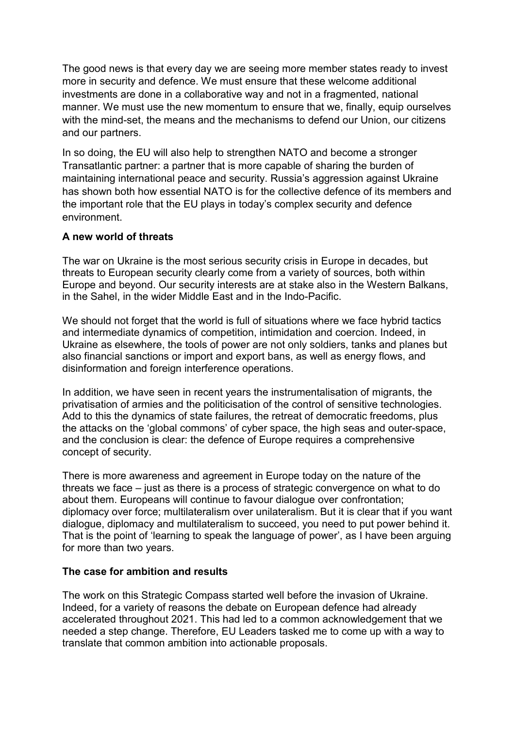The good news is that every day we are seeing more member states ready to invest more in security and defence. We must ensure that these welcome additional investments are done in a collaborative way and not in a fragmented, national manner. We must use the new momentum to ensure that we, finally, equip ourselves with the mind-set, the means and the mechanisms to defend our Union, our citizens and our partners.

In so doing, the EU will also help to strengthen NATO and become a stronger Transatlantic partner: a partner that is more capable of sharing the burden of maintaining international peace and security. Russia's aggression against Ukraine has shown both how essential NATO is for the collective defence of its members and the important role that the EU plays in today's complex security and defence environment.

### **A new world of threats**

The war on Ukraine is the most serious security crisis in Europe in decades, but threats to European security clearly come from a variety of sources, both within Europe and beyond. Our security interests are at stake also in the Western Balkans, in the Sahel, in the wider Middle East and in the Indo-Pacific.

We should not forget that the world is full of situations where we face hybrid tactics and intermediate dynamics of competition, intimidation and coercion. Indeed, in Ukraine as elsewhere, the tools of power are not only soldiers, tanks and planes but also financial sanctions or import and export bans, as well as energy flows, and disinformation and foreign interference operations.

In addition, we have seen in recent years the instrumentalisation of migrants, the privatisation of armies and the politicisation of the control of sensitive technologies. Add to this the dynamics of state failures, the retreat of democratic freedoms, plus the attacks on the 'global commons' of cyber space, the high seas and outer-space, and the conclusion is clear: the defence of Europe requires a comprehensive concept of security.

There is more awareness and agreement in Europe today on the nature of the threats we face – just as there is a process of strategic convergence on what to do about them. Europeans will continue to favour dialogue over confrontation; diplomacy over force; multilateralism over unilateralism. But it is clear that if you want dialogue, diplomacy and multilateralism to succeed, you need to put power behind it. That is the point of 'learning to speak the language of power', as I have been arguing for more than two years.

# **The case for ambition and results**

The work on this Strategic Compass started well before the invasion of Ukraine. Indeed, for a variety of reasons the debate on European defence had already accelerated throughout 2021. This had led to a common acknowledgement that we needed a step change. Therefore, EU Leaders tasked me to come up with a way to translate that common ambition into actionable proposals.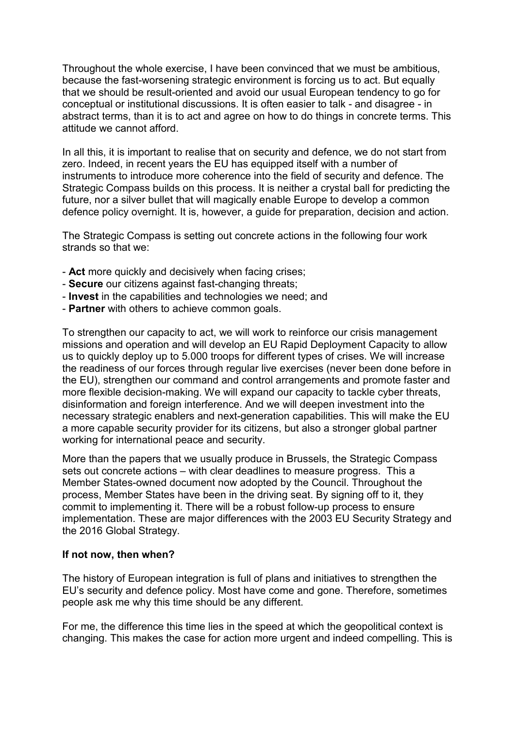Throughout the whole exercise, I have been convinced that we must be ambitious, because the fast-worsening strategic environment is forcing us to act. But equally that we should be result-oriented and avoid our usual European tendency to go for conceptual or institutional discussions. It is often easier to talk - and disagree - in abstract terms, than it is to act and agree on how to do things in concrete terms. This attitude we cannot afford.

In all this, it is important to realise that on security and defence, we do not start from zero. Indeed, in recent years the EU has equipped itself with a number of instruments to introduce more coherence into the field of security and defence. The Strategic Compass builds on this process. It is neither a crystal ball for predicting the future, nor a silver bullet that will magically enable Europe to develop a common defence policy overnight. It is, however, a guide for preparation, decision and action.

The Strategic Compass is setting out concrete actions in the following four work strands so that we:

- **Act** more quickly and decisively when facing crises;
- **Secure** our citizens against fast-changing threats;
- **Invest** in the capabilities and technologies we need; and
- **Partner** with others to achieve common goals.

To strengthen our capacity to act, we will work to reinforce our crisis management missions and operation and will develop an EU Rapid Deployment Capacity to allow us to quickly deploy up to 5.000 troops for different types of crises. We will increase the readiness of our forces through regular live exercises (never been done before in the EU), strengthen our command and control arrangements and promote faster and more flexible decision-making. We will expand our capacity to tackle cyber threats, disinformation and foreign interference. And we will deepen investment into the necessary strategic enablers and next-generation capabilities. This will make the EU a more capable security provider for its citizens, but also a stronger global partner working for international peace and security.

More than the papers that we usually produce in Brussels, the Strategic Compass sets out concrete actions – with clear deadlines to measure progress. This a Member States-owned document now adopted by the Council. Throughout the process, Member States have been in the driving seat. By signing off to it, they commit to implementing it. There will be a robust follow-up process to ensure implementation. These are major differences with the 2003 EU Security Strategy and the 2016 Global Strategy.

#### **If not now, then when?**

The history of European integration is full of plans and initiatives to strengthen the EU's security and defence policy. Most have come and gone. Therefore, sometimes people ask me why this time should be any different.

For me, the difference this time lies in the speed at which the geopolitical context is changing. This makes the case for action more urgent and indeed compelling. This is